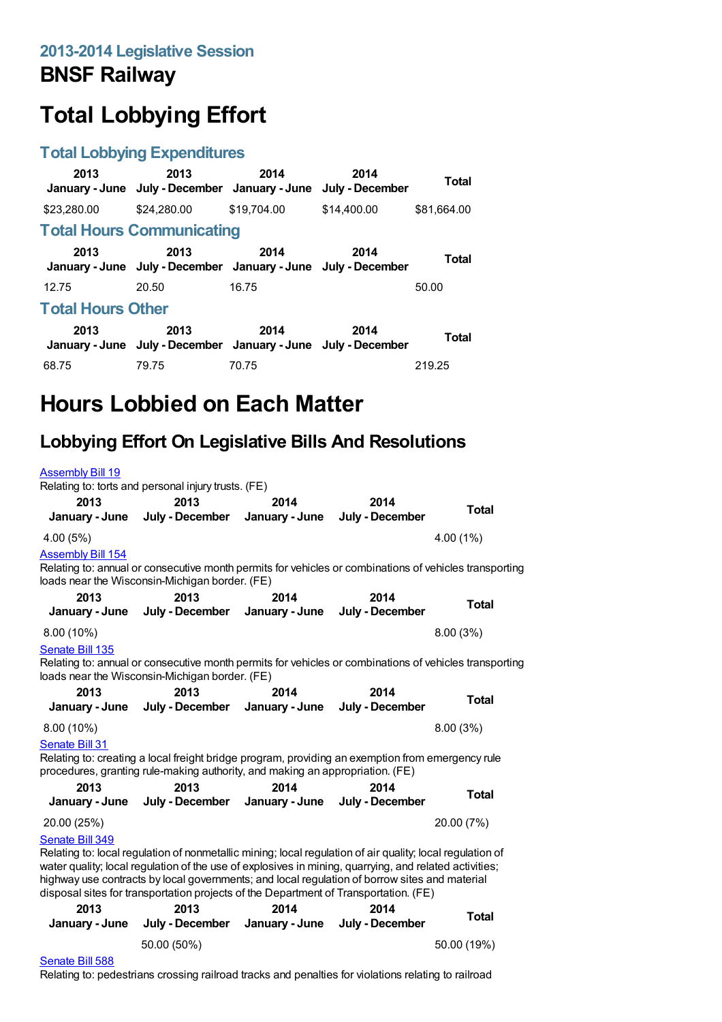## **BNSF Railway**

# **Total Lobbying Effort**

#### **Total Lobbying Expenditures**

| 2013                             | 2013<br>January - June July - December January - June                 | 2014        | 2014<br>July - December | Total       |  |
|----------------------------------|-----------------------------------------------------------------------|-------------|-------------------------|-------------|--|
| \$23,280,00                      | \$24,280,00                                                           | \$19,704.00 | \$14,400.00             | \$81.664.00 |  |
| <b>Total Hours Communicating</b> |                                                                       |             |                         |             |  |
| 2013                             | 2013<br>January - June July - December January - June July - December | 2014        | 2014                    | Total       |  |
| 12.75                            | 20.50                                                                 | 16.75       |                         | 50.00       |  |
| <b>Total Hours Other</b>         |                                                                       |             |                         |             |  |
| 2013                             | 2013<br>January - June July - December January - June July - December | 2014        | 2014                    | Total       |  |
| 68.75                            | 79.75                                                                 | 70.75       |                         | 219.25      |  |

## **Hours Lobbied on Each Matter**

### **Lobbying Effort On Legislative Bills And Resolutions**

| <b>Assembly Bill 19</b>                                                                                                                                                                             | Relating to: torts and personal injury trusts. (FE)                                                                                                                                                                                                                                                                                                                                                          |                        |                         |              |
|-----------------------------------------------------------------------------------------------------------------------------------------------------------------------------------------------------|--------------------------------------------------------------------------------------------------------------------------------------------------------------------------------------------------------------------------------------------------------------------------------------------------------------------------------------------------------------------------------------------------------------|------------------------|-------------------------|--------------|
| 2013<br>January - June                                                                                                                                                                              | 2013<br>July - December                                                                                                                                                                                                                                                                                                                                                                                      | 2014<br>January - June | 2014<br>July - December | Total        |
| 4.00 (5%)                                                                                                                                                                                           |                                                                                                                                                                                                                                                                                                                                                                                                              |                        |                         | 4.00(1%)     |
| <b>Assembly Bill 154</b>                                                                                                                                                                            | Relating to: annual or consecutive month permits for vehicles or combinations of vehicles transporting<br>loads near the Wisconsin-Michigan border. (FE)                                                                                                                                                                                                                                                     |                        |                         |              |
| 2013                                                                                                                                                                                                | 2013                                                                                                                                                                                                                                                                                                                                                                                                         | 2014                   | 2014                    | <b>Total</b> |
| January - June                                                                                                                                                                                      | July - December                                                                                                                                                                                                                                                                                                                                                                                              | January - June         | July - December         |              |
| 8.00 (10%)                                                                                                                                                                                          |                                                                                                                                                                                                                                                                                                                                                                                                              |                        |                         | 8.00(3%)     |
| Senate Bill 135<br>Relating to: annual or consecutive month permits for vehicles or combinations of vehicles transporting<br>loads near the Wisconsin-Michigan border. (FE)                         |                                                                                                                                                                                                                                                                                                                                                                                                              |                        |                         |              |
| 2013<br>January - June                                                                                                                                                                              | 2013<br>July - December                                                                                                                                                                                                                                                                                                                                                                                      | 2014<br>January - June | 2014<br>July - December | <b>Total</b> |
| $8.00(10\%)$                                                                                                                                                                                        |                                                                                                                                                                                                                                                                                                                                                                                                              |                        |                         | 8.00(3%)     |
| Senate Bill 31<br>Relating to: creating a local freight bridge program, providing an exemption from emergency rule<br>procedures, granting rule-making authority, and making an appropriation. (FE) |                                                                                                                                                                                                                                                                                                                                                                                                              |                        |                         |              |
| 2013<br>January - June                                                                                                                                                                              | 2013<br>July - December                                                                                                                                                                                                                                                                                                                                                                                      | 2014<br>January - June | 2014<br>July - December | <b>Total</b> |
| 20.00 (25%)                                                                                                                                                                                         |                                                                                                                                                                                                                                                                                                                                                                                                              |                        |                         | 20.00 (7%)   |
| Senate Bill 349                                                                                                                                                                                     | Relating to: local regulation of nonmetallic mining; local regulation of air quality; local regulation of<br>water quality; local regulation of the use of explosives in mining, quarrying, and related activities;<br>highway use contracts by local governments; and local regulation of borrow sites and material<br>disposal sites for transportation projects of the Department of Transportation. (FE) |                        |                         |              |
| 2013                                                                                                                                                                                                | 2013                                                                                                                                                                                                                                                                                                                                                                                                         | 2014                   | 2014                    | <b>Total</b> |
| January - June                                                                                                                                                                                      | July - December                                                                                                                                                                                                                                                                                                                                                                                              | January - June         | July - December         |              |
|                                                                                                                                                                                                     | 50.00 (50%)                                                                                                                                                                                                                                                                                                                                                                                                  |                        |                         | 50.00 (19%)  |

#### [Senate](https://lobbying.wi.gov/What/BillInformation/2013REG/Information/11204?tab=Efforts) Bill 588

Relating to: pedestrians crossing railroad tracks and penalties for violations relating to railroad